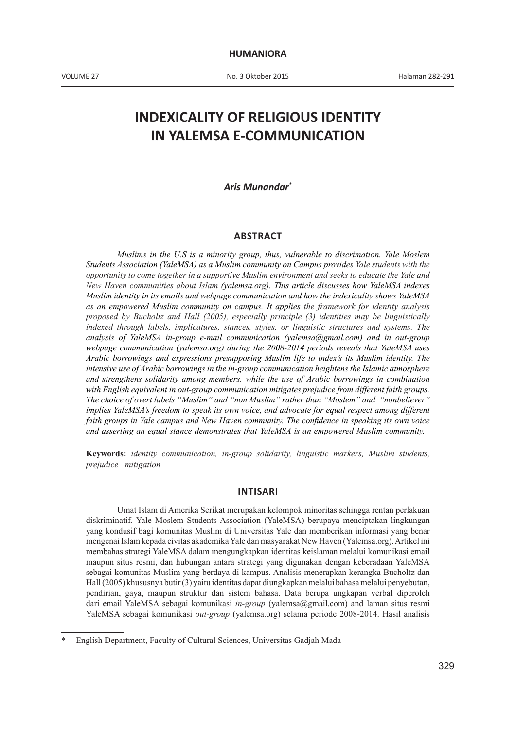VOLUME 27 No. 3 Oktober 2015

# **INDEXICALITY OF RELIGIOUS IDENTITY IN YALEMSA E-COMMUNICATION**

*Aris Munandar\**

#### **ABSTRACT**

*Muslims in the U.S is a minority group, thus, vulnerable to discrimation. Yale Moslem Students Association (YaleMSA) as a Muslim community on Campus provides Yale students with the opportunity to come together in a supportive Muslim environment and seeks to educate the Yale and New Haven communities about Islam (yalemsa.org). This article discusses how YaleMSA indexes Muslim identity in its emails and webpage communication and how the indexicality shows YaleMSA as an empowered Muslim community on campus. It applies the framework for identity analysis proposed by Bucholtz and Hall (2005), especially principle (3) identities may be linguistically indexed through labels, implicatures, stances, styles, or linguistic structures and systems. The analysis of YaleMSA in-group e-mail communication (yalemsa@gmail.com) and in out-group webpage communication (yalemsa.org) during the 2008-2014 periods reveals that YaleMSA uses Arabic borrowings and expressions presupposing Muslim life to index's its Muslim identity. The intensive use of Arabic borrowings in the in-group communication heightens the Islamic atmosphere and strengthens solidarity among members, while the use of Arabic borrowings in combination with English equivalent in out-group communication mitigates prejudice from different faith groups. The choice of overt labels "Muslim" and "non Muslim" rather than "Moslem" and "nonbeliever" implies YaleMSA's freedom to speak its own voice, and advocate for equal respect among different faith groups in Yale campus and New Haven community. The confidence in speaking its own voice and asserting an equal stance demonstrates that YaleMSA is an empowered Muslim community.* 

**Keywords:** *identity communication, in-group solidarity, linguistic markers, Muslim students, prejudice mitigation* 

#### **INTISARI**

Umat Islam di Amerika Serikat merupakan kelompok minoritas sehingga rentan perlakuan diskriminatif. Yale Moslem Students Association (YaleMSA) berupaya menciptakan lingkungan yang kondusif bagi komunitas Muslim di Universitas Yale dan memberikan informasi yang benar mengenai Islam kepada civitas akademika Yale dan masyarakat New Haven (Yalemsa.org). Artikel ini membahas strategi YaleMSA dalam mengungkapkan identitas keislaman melalui komunikasi email maupun situs resmi, dan hubungan antara strategi yang digunakan dengan keberadaan YaleMSA sebagai komunitas Muslim yang berdaya di kampus. Analisis menerapkan kerangka Bucholtz dan Hall (2005) khususnya butir (3) yaitu identitas dapat diungkapkan melalui bahasa melalui penyebutan, pendirian, gaya, maupun struktur dan sistem bahasa. Data berupa ungkapan verbal diperoleh dari email YaleMSA sebagai komunikasi *in-group* (yalemsa@gmail.com) and laman situs resmi YaleMSA sebagai komunikasi *out-group* (yalemsa.org) selama periode 2008-2014. Hasil analisis

<sup>\*</sup> English Department, Faculty of Cultural Sciences, Universitas Gadjah Mada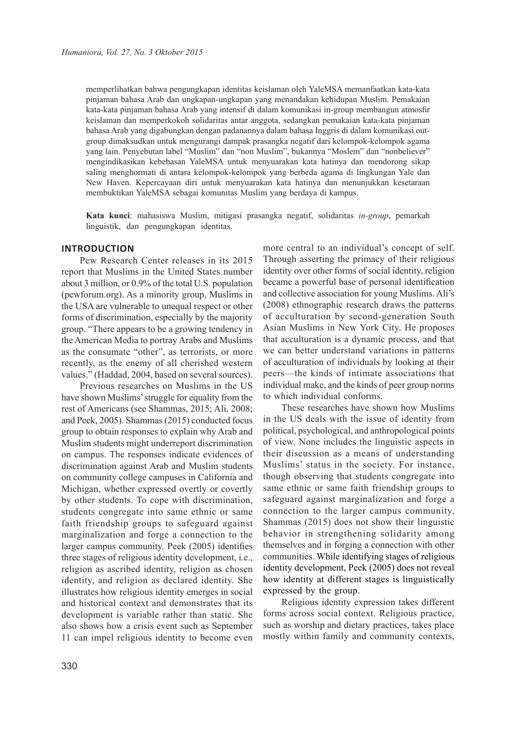memperlihatkan bahwa pengungkapan identitas keislaman oleh YaleMSA memanfaatkan kata-kata pinjaman bahasa Arab dan ungkapan-ungkapan yang menandakan kehidupan Muslim. Pemakaian kata-kata pinjaman bahasa Arab yang intensif di dalam komunikasi in-group membangun atmosfir keislaman dan memperkokoh solidaritas antar anggota, sedangkan pemakaian kata-kata pinjaman bahasa Arab yang digabungkan dengan padanannya dalam bahasa Inggris di dalam komunikasi outgroup dimaksudkan untuk mengurangi dampak prasangka negatif dari kelompok-kelompok agama yang lain. Penyebutan label "Muslim" dan "non Muslim", bukannya "Moslem" dan "nonbeliever" mengindikasikan kebebasan YaleMSA untuk menyuarakan kata hatinya dan mendorong sikap saling menghormati di antara kelompok-kelompok yang berbeda agama di lingkungan Yale dan New Haven. Kepercayaan diri untuk menyuarakan kata hatinya dan menunjukkan kesetaraan membuktikan YaleMSA sebagai komunitas Muslim yang berdaya di kampus.

**Kata kunci**: mahasiswa Muslim, mitigasi prasangka negatif, solidaritas *in-group*, pemarkah linguistik, dan pengungkapan identitas.

#### **INTRODUCTION**

Pew Research Center releases in its 2015 report that Muslims in the United States number about 3 million, or 0.9% of the total U.S. population (pewforum.org). As a minority group, Muslims in the USA are vulnerable to unequal respect or other forms of discrimination, especially by the majority group. "There appears to be a growing tendency in the American Media to portray Arabs and Muslims as the consumate "other", as terrorists, or more recently, as the enemy of all cherished western values." (Haddad, 2004, based on several sources).

Previous researches on Muslims in the US have shown Muslims' struggle for equality from the rest of Americans (see Shammas, 2015; Ali, 2008; and Peek, 2005). Shammas (2015) conducted focus group to obtain responses to explain why Arab and Muslim students might underreport discrimination on campus. The responses indicate evidences of discrimination against Arab and Muslim students on community college campuses in California and Michigan, whether expressed overtly or covertly by other students. To cope with discrimination, students congregate into same ethnic or same faith friendship groups to safeguard against marginalization and forge a connection to the larger campus community. Peek (2005) identifies three stages of religious identity development, i.e., religion as ascribed identity, religion as chosen identity, and religion as declared identity. She illustrates how religious identity emerges in social and historical context and demonstrates that its development is variable rather than static. She also shows how a crisis event such as September 11 can impel religious identity to become even

more central to an individual's concept of self. Through asserting the primacy of their religious identity over other forms of social identity, religion became a powerful base of personal identification and collective association for young Muslims. Ali's (2008) ethnographic research draws the patterns of acculturation by second-generation South Asian Muslims in New York City. He proposes that acculturation is a dynamic process, and that we can better understand variations in patterns of acculturation of individuals by looking at their peers—the kinds of intimate associations that individual make, and the kinds of peer group norms to which individual conforms.

These researches have shown how Muslims in the US deals with the issue of identity from political, psychological, and anthropological points of view. None includes the linguistic aspects in their discussion as a means of understanding Muslims' status in the society. For instance, though observing that students congregate into same ethnic or same faith friendship groups to safeguard against marginalization and forge a connection to the larger campus community, Shammas (2015) does not show their linguistic behavior in strengthening solidarity among themselves and in forging a connection with other communities. While identifying stages of religious identity development, Peek (2005) does not reveal how identity at different stages is linguistically expressed by the group.

Religious identity expression takes different forms across social context. Religious practice, such as worship and dietary practices, takes place mostly within family and community contexts,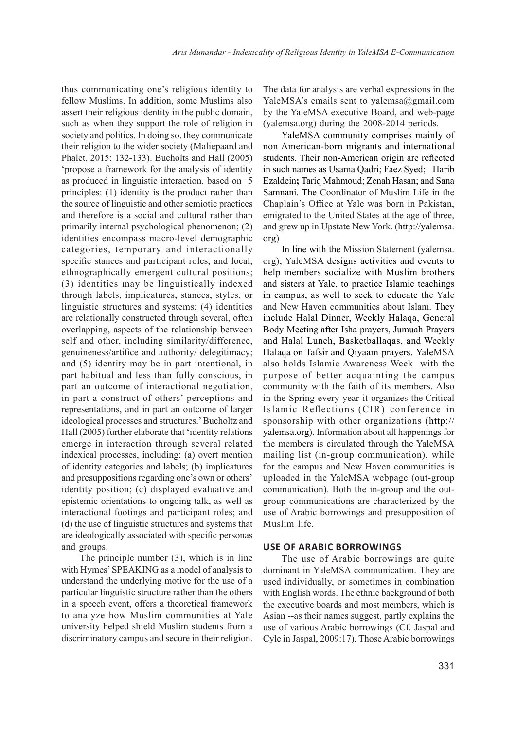thus communicating one's religious identity to fellow Muslims. In addition, some Muslims also assert their religious identity in the public domain, such as when they support the role of religion in society and politics. In doing so, they communicate their religion to the wider society (Maliepaard and Phalet, 2015: 132-133). Bucholts and Hall (2005) 'propose a framework for the analysis of identity as produced in linguistic interaction, based on 5 principles: (1) identity is the product rather than the source of linguistic and other semiotic practices and therefore is a social and cultural rather than primarily internal psychological phenomenon; (2) identities encompass macro-level demographic categories, temporary and interactionally specific stances and participant roles, and local, ethnographically emergent cultural positions; (3) identities may be linguistically indexed through labels, implicatures, stances, styles, or linguistic structures and systems; (4) identities are relationally constructed through several, often overlapping, aspects of the relationship between self and other, including similarity/difference, genuineness/artifice and authority/ delegitimacy; and (5) identity may be in part intentional, in part habitual and less than fully conscious, in part an outcome of interactional negotiation, in part a construct of others' perceptions and representations, and in part an outcome of larger ideological processes and structures.' Bucholtz and Hall (2005) further elaborate that 'identity relations emerge in interaction through several related indexical processes, including: (a) overt mention of identity categories and labels; (b) implicatures and presuppositions regarding one's own or others' identity position; (c) displayed evaluative and epistemic orientations to ongoing talk, as well as interactional footings and participant roles; and (d) the use of linguistic structures and systems that are ideologically associated with specific personas and groups.

The principle number (3), which is in line with Hymes' SPEAKING as a model of analysis to understand the underlying motive for the use of a particular linguistic structure rather than the others in a speech event, offers a theoretical framework to analyze how Muslim communities at Yale university helped shield Muslim students from a discriminatory campus and secure in their religion.

The data for analysis are verbal expressions in the YaleMSA's emails sent to yalemsa@gmail.com by the YaleMSA executive Board, and web-page (yalemsa.org) during the 2008-2014 periods.

YaleMSA community comprises mainly of non American-born migrants and international students. Their non-American origin are reflected in such names as Usama Qadri; Faez Syed;Harib Ezaldein**;** Tariq Mahmoud; Zenah Hasan; and Sana Samnani. The Coordinator of Muslim Life in the Chaplain's Office at Yale was born in Pakistan, emigrated to the United States at the age of three, and grew up in Upstate New York. (http://yalemsa. org)

In line with the Mission Statement (yalemsa. org), YaleMSA designs activities and events to help members socialize with Muslim brothers and sisters at Yale, to practice Islamic teachings in campus, as well to seek to educate the Yale and New Haven communities about Islam. They include Halal Dinner, Weekly Halaqa, General Body Meeting after Isha prayers, Jumuah Prayers and Halal Lunch, Basketballaqas, and Weekly Halaqa on Tafsir and Qiyaam prayers. YaleMSA also holds Islamic Awareness Week with the purpose of better acquainting the campus community with the faith of its members. Also in the Spring every year it organizes the Critical Islamic Reflections (CIR) conference in sponsorship with other organizations (http:// yalemsa.org). Information about all happenings for the members is circulated through the YaleMSA mailing list (in-group communication), while for the campus and New Haven communities is uploaded in the YaleMSA webpage (out-group communication). Both the in-group and the outgroup communications are characterized by the use of Arabic borrowings and presupposition of Muslim life.

# **USE OF ARABIC BORROWINGS**

The use of Arabic borrowings are quite dominant in YaleMSA communication. They are used individually, or sometimes in combination with English words. The ethnic background of both the executive boards and most members, which is Asian --as their names suggest, partly explains the use of various Arabic borrowings (Cf. Jaspal and Cyle in Jaspal, 2009:17). Those Arabic borrowings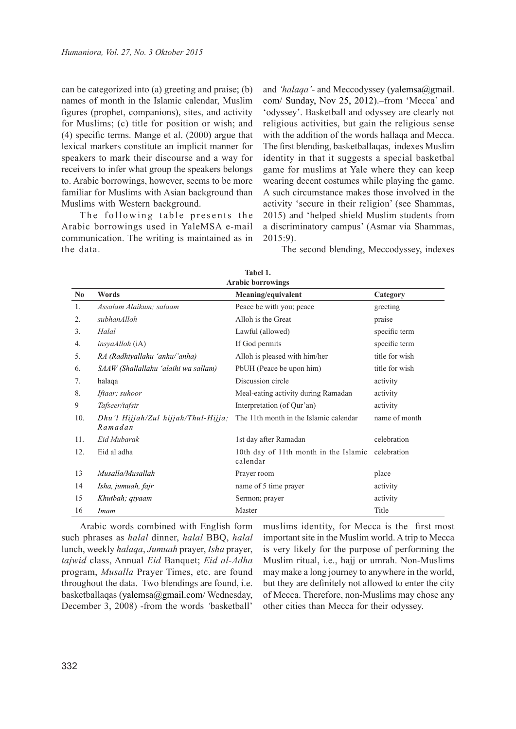can be categorized into (a) greeting and praise; (b) names of month in the Islamic calendar, Muslim figures (prophet, companions), sites, and activity for Muslims; (c) title for position or wish; and (4) specific terms. Mange et al. (2000) argue that lexical markers constitute an implicit manner for speakers to mark their discourse and a way for receivers to infer what group the speakers belongs to. Arabic borrowings, however, seems to be more familiar for Muslims with Asian background than Muslims with Western background.

The following table presents the Arabic borrowings used in YaleMSA e-mail communication. The writing is maintained as in the data.

and 'halaqa'- and Meccodyssey (yalemsa@gmail. com/ Sunday, Nov 25, 2012).–from 'Mecca' and 'odyssey'. Basketball and odyssey are clearly not religious activities, but gain the religious sense with the addition of the words hallaqa and Mecca. The first blending, basketballaqas, indexes Muslim identity in that it suggests a special basketbal game for muslims at Yale where they can keep wearing decent costumes while playing the game. A such circumstance makes those involved in the activity 'secure in their religion' (see Shammas, 2015) and 'helped shield Muslim students from a discriminatory campus' (Asmar via Shammas, 2015:9).

The second blending, Meccodyssey, indexes

| Tabel 1.                 |                                                |                                                   |                |  |  |
|--------------------------|------------------------------------------------|---------------------------------------------------|----------------|--|--|
| <b>Arabic borrowings</b> |                                                |                                                   |                |  |  |
| $\mathbf{N}\mathbf{0}$   | Words                                          | Meaning/equivalent                                | Category       |  |  |
| 1.                       | Assalam Alaikum; salaam                        | Peace be with you; peace                          | greeting       |  |  |
| 2.                       | subhanAlloh                                    | Alloh is the Great                                | praise         |  |  |
| 3.                       | Halal                                          | Lawful (allowed)                                  | specific term  |  |  |
| 4.                       | <i>insyaAlloh</i> ( <i>iA</i> )                | If God permits                                    | specific term  |  |  |
| 5.                       | RA (Radhiyallahu 'anhu/'anha)                  | Alloh is pleased with him/her                     | title for wish |  |  |
| 6.                       | SAAW (Shallallahu 'alaihi wa sallam)           | PbUH (Peace be upon him)                          | title for wish |  |  |
| 7.                       | halaqa                                         | Discussion circle                                 | activity       |  |  |
| 8.                       | Iftaar; suhoor                                 | Meal-eating activity during Ramadan               | activity       |  |  |
| 9                        | Tafseer/tafsir                                 | Interpretation (of Qur'an)                        | activity       |  |  |
| 10.                      | Dhu'l Hijjah/Zul hijjah/Thul-Hijja;<br>Ramadan | The 11th month in the Islamic calendar            | name of month  |  |  |
| 11.                      | Eid Mubarak                                    | 1st day after Ramadan                             | celebration    |  |  |
| 12.                      | Eid al adha                                    | 10th day of 11th month in the Islamic<br>calendar | celebration    |  |  |
| 13                       | Musalla/Musallah                               | Prayer room                                       | place          |  |  |
| 14                       | Isha, jumuah, fajr                             | name of 5 time prayer                             | activity       |  |  |
| 15                       | Khutbah; qiyaam                                | Sermon; prayer                                    | activity       |  |  |
| 16                       | Imam                                           | Master                                            | Title          |  |  |

Arabic words combined with English form such phrases as *halal* dinner, *halal* BBQ, *halal* lunch, weekly *halaqa*, *Jumuah* prayer, *Isha* prayer, *tajwid* class, Annual *Eid* Banquet; *Eid al-Adha* program, *Musalla* Prayer Times, etc. are found throughout the data. Two blendings are found, i.e. basketballaqas (yalemsa@gmail.com/ Wednesday, December 3, 2008) -from the words *'*basketball'

muslims identity, for Mecca is the first most important site in the Muslim world. A trip to Mecca is very likely for the purpose of performing the Muslim ritual, i.e., hajj or umrah. Non-Muslims may make a long journey to anywhere in the world, but they are definitely not allowed to enter the city of Mecca. Therefore, non-Muslims may chose any other cities than Mecca for their odyssey.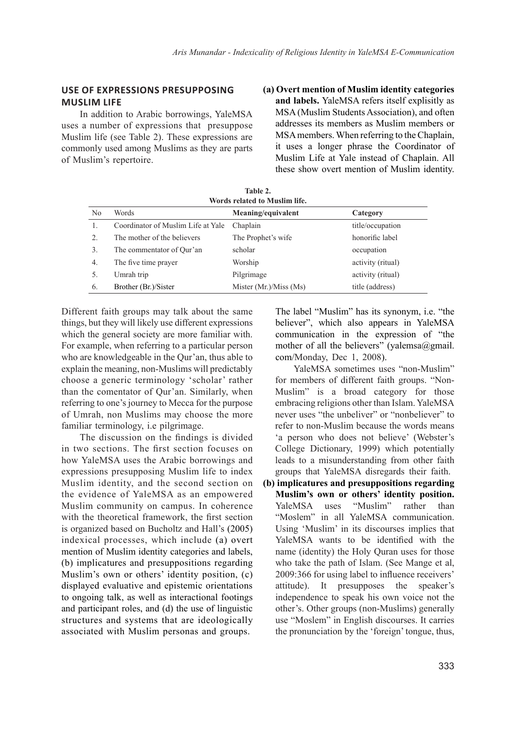# **USE OF EXPRESSIONS PRESUPPOSING MUSLIM LIFE**

In addition to Arabic borrowings, YaleMSA uses a number of expressions that presuppose Muslim life (see Table 2). These expressions are commonly used among Muslims as they are parts of Muslim's repertoire.

**(a) Overt mention of Muslim identity categories and labels.** YaleMSA refers itself explisitly as MSA (Muslim Students Association), and often addresses its members as Muslim members or MSA members. When referring to the Chaplain, it uses a longer phrase the Coordinator of Muslim Life at Yale instead of Chaplain. All these show overt mention of Muslim identity.

| 1400.4<br>Words related to Muslim life. |                                    |                            |                   |  |  |
|-----------------------------------------|------------------------------------|----------------------------|-------------------|--|--|
| N <sub>0</sub>                          | Words                              | Meaning/equivalent         | Category          |  |  |
| 1.                                      | Coordinator of Muslim Life at Yale | Chaplain                   | title/occupation  |  |  |
| 2.                                      | The mother of the believers        | The Prophet's wife         | honorific label   |  |  |
| 3.                                      | The commentator of Our'an          | scholar                    | occupation        |  |  |
| $\overline{4}$ .                        | The five time prayer               | Worship                    | activity (ritual) |  |  |
| .5.                                     | Umrah trip                         | Pilgrimage                 | activity (ritual) |  |  |
| 6.                                      | Brother (Br.)/Sister               | Mister $(Mr)$ /Miss $(Ms)$ | title (address)   |  |  |

**Table 2.** 

Different faith groups may talk about the same things, but they will likely use different expressions which the general society are more familiar with. For example, when referring to a particular person who are knowledgeable in the Qur'an, thus able to explain the meaning, non-Muslims will predictably choose a generic terminology 'scholar' rather than the comentator of Qur'an. Similarly, when referring to one's journey to Mecca for the purpose of Umrah, non Muslims may choose the more familiar terminology, i.e pilgrimage.

The discussion on the findings is divided in two sections. The first section focuses on how YaleMSA uses the Arabic borrowings and expressions presupposing Muslim life to index Muslim identity, and the second section on the evidence of YaleMSA as an empowered Muslim community on campus. In coherence with the theoretical framework, the first section is organized based on Bucholtz and Hall's (2005) indexical processes, which include (a) overt mention of Muslim identity categories and labels, (b) implicatures and presuppositions regarding Muslim's own or others' identity position, (c) displayed evaluative and epistemic orientations to ongoing talk, as well as interactional footings and participant roles, and (d) the use of linguistic structures and systems that are ideologically associated with Muslim personas and groups.

The label "Muslim" has its synonym, i.e. "the believer", which also appears in YaleMSA communication in the expression of "the mother of all the believers" (yalemsa@gmail. com/Monday, Dec 1, 2008).

YaleMSA sometimes uses "non-Muslim" for members of different faith groups. "Non-Muslim" is a broad category for those embracing religions other than Islam. YaleMSA never uses "the unbeliver" or "nonbeliever" to refer to non-Muslim because the words means 'a person who does not believe' (Webster's College Dictionary, 1999) which potentially leads to a misunderstanding from other faith groups that YaleMSA disregards their faith.

**(b) implicatures and presuppositions regarding Muslim's own or others' identity position.**  YaleMSA uses "Muslim" rather than "Moslem" in all YaleMSA communication. Using 'Muslim' in its discourses implies that YaleMSA wants to be identified with the name (identity) the Holy Quran uses for those who take the path of Islam. (See Mange et al, 2009:366 for using label to influence receivers' attitude). It presupposes the speaker's independence to speak his own voice not the other's. Other groups (non-Muslims) generally use "Moslem" in English discourses. It carries the pronunciation by the 'foreign' tongue, thus,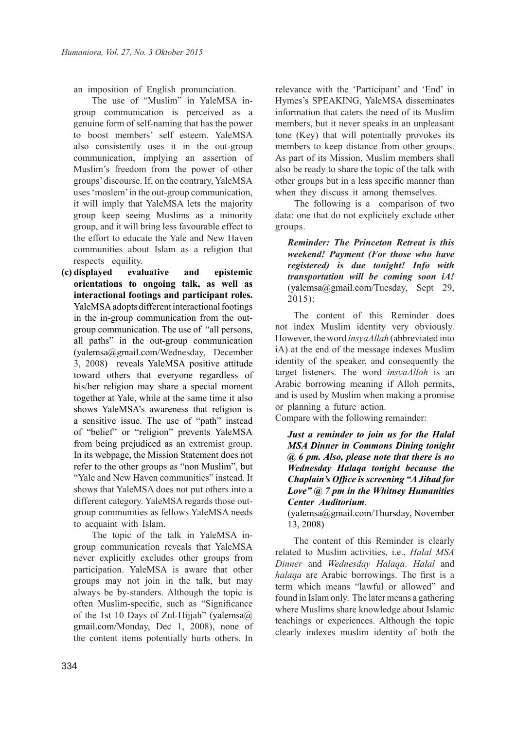an imposition of English pronunciation.

The use of "Muslim" in YaleMSA ingroup communication is perceived as a genuine form of self-naming that has the power to boost members' self esteem. YaleMSA also consistently uses it in the out-group communication, implying an assertion of Muslim's freedom from the power of other groups' discourse. If, on the contrary, YaleMSA uses 'moslem' in the out-group communication, it will imply that YaleMSA lets the majority group keep seeing Muslims as a minority group, and it will bring less favourable effect to the effort to educate the Yale and New Haven communities about Islam as a religion that respects equility.

**(c) displayed evaluative and epistemic orientations to ongoing talk, as well as interactional footings and participant roles.**  YaleMSA adopts different interactional footings in the in-group communication from the outgroup communication. The use of "all persons, all paths" in the out-group communication (yalemsa@gmail.com/Wednesday, December 3, 2008) reveals YaleMSA positive attitude toward others that everyone regardless of his/her religion may share a special moment together at Yale, while at the same time it also shows YaleMSA's awareness that religion is a sensitive issue. The use of "path" instead of "belief" or "religion" prevents YaleMSA from being prejudiced as an extremist group. In its webpage, the Mission Statement does not refer to the other groups as "non Muslim", but "Yale and New Haven communities" instead. It shows that YaleMSA does not put others into a different category. YaleMSA regards those outgroup communities as fellows YaleMSA needs to acquaint with Islam.

The topic of the talk in YaleMSA ingroup communication reveals that YaleMSA never explicitly excludes other groups from participation. YaleMSA is aware that other groups may not join in the talk, but may always be by-standers. Although the topic is often Muslim-specific, such as "Significance of the 1st 10 Days of Zul-Hijjah" (yalemsa $@$ gmail.com/Monday, Dec 1, 2008), none of the content items potentially hurts others. In relevance with the 'Participant' and 'End' in Hymes's SPEAKING, YaleMSA disseminates information that caters the need of its Muslim members, but it never speaks in an unpleasant tone (Key) that will potentially provokes its members to keep distance from other groups. As part of its Mission, Muslim members shall also be ready to share the topic of the talk with other groups but in a less specific manner than when they discuss it among themselves.

The following is a comparison of two data: one that do not explicitely exclude other groups.

*Reminder: The Princeton Retreat is this weekend! Payment (For those who have registered) is due tonight! Info with transportation will be coming soon iA!* (yalemsa@gmail.com/Tuesday, Sept 29, 2015):

The content of this Reminder does not index Muslim identity very obviously. However, the word *insyaAllah* (abbreviated into iA) at the end of the message indexes Muslim identity of the speaker, and consequently the target listeners. The word *insyaAlloh* is an Arabic borrowing meaning if Alloh permits, and is used by Muslim when making a promise or planning a future action.

Compare with the following remainder:

*Just a reminder to join us for the Halal MSA Dinner in Commons Dining tonight @ 6 pm. Also, please note that there is no Wednesday Halaqa tonight because the Chaplain's Office is screening "A Jihad for Love" @ 7 pm in the Whitney Humanities Center Auditorium*.

(yalemsa@gmail.com/Thursday, November 13, 2008)

The content of this Reminder is clearly related to Muslim activities, i.e., *Halal MSA Dinner* and *Wednesday Halaqa*. *Halal* and *halaqa* are Arabic borrowings. The first is a term which means "lawful or allowed" and found in Islam only. The later means a gathering where Muslims share knowledge about Islamic teachings or experiences. Although the topic clearly indexes muslim identity of both the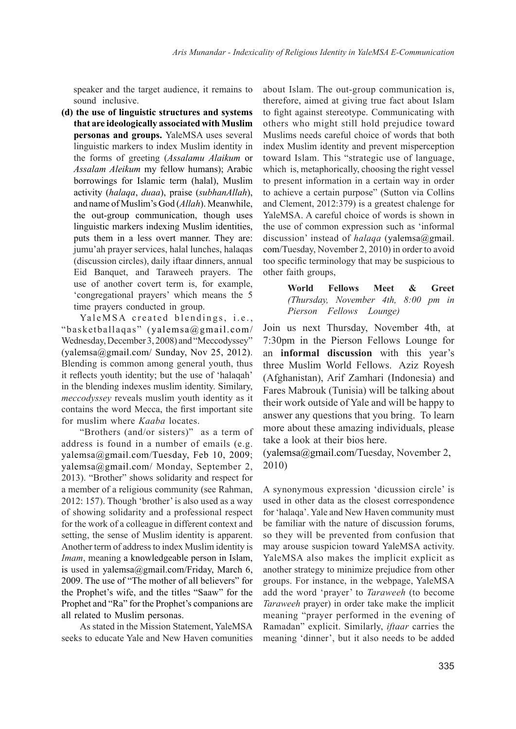speaker and the target audience, it remains to sound inclusive.

**(d) the use of linguistic structures and systems that are ideologically associated with Muslim personas and groups.** YaleMSA uses several linguistic markers to index Muslim identity in the forms of greeting (*Assalamu Alaikum* or *Assalam Aleikum* my fellow humans); Arabic borrowings for Islamic term (halal), Muslim activity (*halaqa*, *duaa*), praise (*subhanAllah*), and name of Muslim's God (*Allah*). Meanwhile, the out-group communication, though uses linguistic markers indexing Muslim identities, puts them in a less overt manner. They are: jumu'ah prayer services, halal lunches, halaqas (discussion circles), daily iftaar dinners, annual Eid Banquet, and Taraweeh prayers. The use of another covert term is, for example, 'congregational prayers' which means the 5 time prayers conducted in group.

YaleMSA created blendings, i.e., "basketballaqas" (yalemsa@gmail.com/ Wednesday, December 3, 2008) and "Meccodyssey" (yalemsa@gmail.com/ Sunday, Nov 25, 2012). Blending is common among general youth, thus it reflects youth identity; but the use of 'halaqah' in the blending indexes muslim identity. Similary, *meccodyssey* reveals muslim youth identity as it contains the word Mecca, the first important site for muslim where *Kaaba* locates.

"Brothers (and/or sisters)" as a term of address is found in a number of emails (e.g. yalemsa@gmail.com/Tuesday, Feb 10, 2009; yalemsa@gmail.com/ Monday, September 2, 2013). "Brother" shows solidarity and respect for a member of a religious community (see Rahman, 2012: 157). Though 'brother' is also used as a way of showing solidarity and a professional respect for the work of a colleague in different context and setting, the sense of Muslim identity is apparent. Another term of address to index Muslim identity is *Imam*, meaning a knowledgeable person in Islam, is used in yalemsa@gmail.com/Friday, March 6, 2009. The use of "The mother of all believers" for the Prophet's wife, and the titles "Saaw" for the Prophet and "Ra" for the Prophet's companions are all related to Muslim personas.

As stated in the Mission Statement, YaleMSA seeks to educate Yale and New Haven comunities

about Islam. The out-group communication is, therefore, aimed at giving true fact about Islam to fight against stereotype. Communicating with others who might still hold prejudice toward Muslims needs careful choice of words that both index Muslim identity and prevent misperception toward Islam. This "strategic use of language, which is, metaphorically, choosing the right vessel to present information in a certain way in order to achieve a certain purpose" (Sutton via Collins and Clement, 2012:379) is a greatest chalenge for YaleMSA. A careful choice of words is shown in the use of common expression such as 'informal discussion' instead of *halaqa* (yalemsa@gmail. com/Tuesday, November 2, 2010) in order to avoid too specific terminology that may be suspicious to other faith groups,

## **World Fellows Meet & Greet** *(Thursday, November 4th, 8:00 pm in Pierson Fellows Lounge)*

Join us next Thursday, November 4th, at 7:30pm in the Pierson Fellows Lounge for an **informal discussion** with this year's three Muslim World Fellows. Aziz Royesh (Afghanistan), Arif Zamhari (Indonesia) and Fares Mabrouk (Tunisia) will be talking about their work outside of Yale and will be happy to answer any questions that you bring. To learn more about these amazing individuals, please take a look at their bios here.

(yalemsa@gmail.com/Tuesday, November 2, 2010)

A synonymous expression 'dicussion circle' is used in other data as the closest correspondence for 'halaqa'. Yale and New Haven community must be familiar with the nature of discussion forums, so they will be prevented from confusion that may arouse suspicion toward YaleMSA activity. YaleMSA also makes the implicit explicit as another strategy to minimize prejudice from other groups. For instance, in the webpage, YaleMSA add the word 'prayer' to *Taraweeh* (to become *Taraweeh* prayer) in order take make the implicit meaning "prayer performed in the evening of Ramadan" explicit. Similarly, *iftaar* carries the meaning 'dinner', but it also needs to be added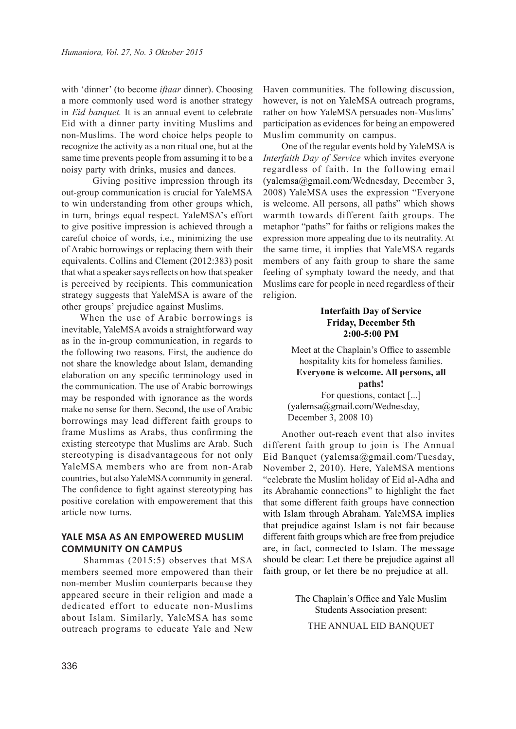with 'dinner' (to become *iftaar* dinner). Choosing a more commonly used word is another strategy in *Eid banquet.* It is an annual event to celebrate Eid with a dinner party inviting Muslims and non-Muslims. The word choice helps people to recognize the activity as a non ritual one, but at the same time prevents people from assuming it to be a noisy party with drinks, musics and dances.

Giving positive impression through its out-group communication is crucial for YaleMSA to win understanding from other groups which, in turn, brings equal respect. YaleMSA's effort to give positive impression is achieved through a careful choice of words, i.e., minimizing the use of Arabic borrowings or replacing them with their equivalents. Collins and Clement (2012:383) posit that what a speaker says reflects on how that speaker is perceived by recipients. This communication strategy suggests that YaleMSA is aware of the other groups' prejudice against Muslims.

When the use of Arabic borrowings is inevitable, YaleMSA avoids a straightforward way as in the in-group communication, in regards to the following two reasons. First, the audience do not share the knowledge about Islam, demanding elaboration on any specific terminology used in the communication. The use of Arabic borrowings may be responded with ignorance as the words make no sense for them. Second, the use of Arabic borrowings may lead different faith groups to frame Muslims as Arabs, thus confirming the existing stereotype that Muslims are Arab. Such stereotyping is disadvantageous for not only YaleMSA members who are from non-Arab countries, but also YaleMSA community in general. The confidence to fight against stereotyping has positive corelation with empowerement that this article now turns.

# **YALE MSA AS AN EMPOWERED MUSLIM COMMUNITY ON CAMPUS**

 Shammas (2015:5) observes that MSA members seemed more empowered than their non-member Muslim counterparts because they appeared secure in their religion and made a dedicated effort to educate non-Muslims about Islam. Similarly, YaleMSA has some outreach programs to educate Yale and New

Haven communities. The following discussion, however, is not on YaleMSA outreach programs, rather on how YaleMSA persuades non-Muslims' participation as evidences for being an empowered Muslim community on campus.

One of the regular events hold by YaleMSA is *Interfaith Day of Service* which invites everyone regardless of faith. In the following email (yalemsa@gmail.com/Wednesday, December 3, 2008) YaleMSA uses the expression "Everyone is welcome. All persons, all paths" which shows warmth towards different faith groups. The metaphor "paths" for faiths or religions makes the expression more appealing due to its neutrality. At the same time, it implies that YaleMSA regards members of any faith group to share the same feeling of symphaty toward the needy, and that Muslims care for people in need regardless of their religion.

## **Interfaith Day of Service Friday, December 5th 2:00-5:00 PM**

Meet at the Chaplain's Office to assemble hospitality kits for homeless families. **Everyone is welcome. All persons, all paths!**

For questions, contact [...] (yalemsa@gmail.com/Wednesday, December 3, 2008 10)

Another out-reach event that also invites different faith group to join is The Annual Eid Banquet (yalemsa@gmail.com/Tuesday, November 2, 2010). Here, YaleMSA mentions "celebrate the Muslim holiday of Eid al-Adha and its Abrahamic connections" to highlight the fact that some different faith groups have connection with Islam through Abraham. YaleMSA implies that prejudice against Islam is not fair because different faith groups which are free from prejudice are, in fact, connected to Islam. The message should be clear: Let there be prejudice against all faith group, or let there be no prejudice at all.

> The Chaplain's Office and Yale Muslim Students Association present:

THE ANNUAL EID BANQUET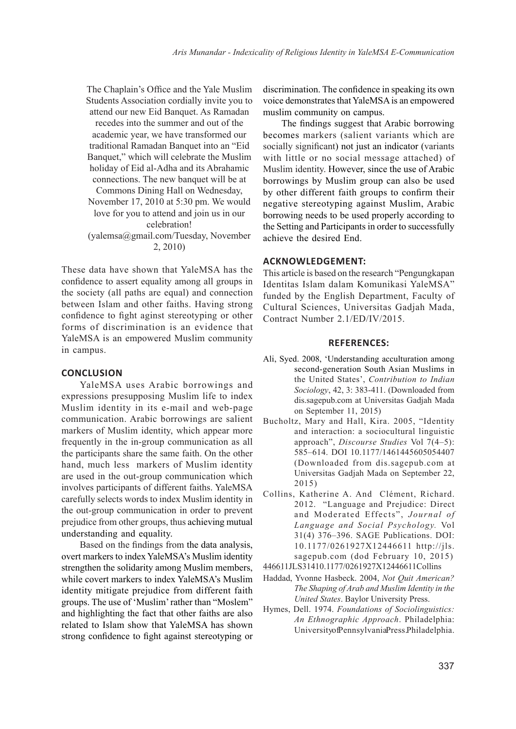The Chaplain's Office and the Yale Muslim Students Association cordially invite you to attend our new Eid Banquet. As Ramadan

recedes into the summer and out of the academic year, we have transformed our traditional Ramadan Banquet into an "Eid Banquet," which will celebrate the Muslim holiday of Eid al-Adha and its Abrahamic connections. The new banquet will be at

Commons Dining Hall on Wednesday,

November 17, 2010 at 5:30 pm. We would love for you to attend and join us in our

celebration!

(yalemsa@gmail.com/Tuesday, November 2, 2010)

These data have shown that YaleMSA has the confidence to assert equality among all groups in the society (all paths are equal) and connection between Islam and other faiths. Having strong confidence to fight aginst stereotyping or other forms of discrimination is an evidence that YaleMSA is an empowered Muslim community in campus.

## **CONCLUSION**

YaleMSA uses Arabic borrowings and expressions presupposing Muslim life to index Muslim identity in its e-mail and web-page communication. Arabic borrowings are salient markers of Muslim identity, which appear more frequently in the in-group communication as all the participants share the same faith. On the other hand, much less markers of Muslim identity are used in the out-group communication which involves participants of different faiths. YaleMSA carefully selects words to index Muslim identity in the out-group communication in order to prevent prejudice from other groups, thus achieving mutual understanding and equality.

Based on the findings from the data analysis, overt markers to index YaleMSA's Muslim identity strengthen the solidarity among Muslim members, while covert markers to index YaleMSA's Muslim identity mitigate prejudice from different faith groups. The use of 'Muslim' rather than "Moslem" and highlighting the fact that other faiths are also related to Islam show that YaleMSA has shown strong confidence to fight against stereotyping or

discrimination. The confidence in speaking its own voice demonstrates that YaleMSA is an empowered muslim community on campus.

The findings suggest that Arabic borrowing becomes markers (salient variants which are socially significant) not just an indicator (variants with little or no social message attached) of Muslim identity. However, since the use of Arabic borrowings by Muslim group can also be used by other different faith groups to confirm their negative stereotyping against Muslim, Arabic borrowing needs to be used properly according to the Setting and Participants in order to successfully achieve the desired End.

## **ACKNOWLEDGEMENT:**

This article is based on the research "Pengungkapan Identitas Islam dalam Komunikasi YaleMSA" funded by the English Department, Faculty of Cultural Sciences, Universitas Gadjah Mada, Contract Number 2.1/ED/IV/2015.

### **REFERENCES:**

- Ali, Syed. 2008, 'Understanding acculturation among second-generation South Asian Muslims in the United States', *Contribution to Indian Sociology*, 42, 3: 383-411. (Downloaded from dis.sagepub.com at Universitas Gadjah Mada on September 11, 2015)
- Bucholtz, Mary and Hall, Kira. 2005, "Identity and interaction: a sociocultural linguistic approach", *Discourse Studies* Vol 7(4–5): 585–614. DOI 10.1177/1461445605054407 (Downloaded from dis.sagepub.com at Universitas Gadjah Mada on September 22, 2015)
- Collins, Katherine A. And Clément, Richard. 2012. "Language and Prejudice: Direct and Moderated Effects", *Journal of Language and Social Psychology.* Vol 31(4) 376–396. SAGE Publications. DOI: 10.1177/0261927X12446611 http://jls. sagepub.com (dod February 10, 2015)
- 446611JLS31410.1177/0261927X12446611Collins
- Haddad, Yvonne Hasbeck. 2004, *Not Quit American? The Shaping of Arab and Muslim Identity in the United States*. Baylor University Press.
- Hymes, Dell. 1974. *Foundations of Sociolinguistics: An Ethnographic Approach*. Philadelphia: University of Pennsylvania Press. Philadelphia.